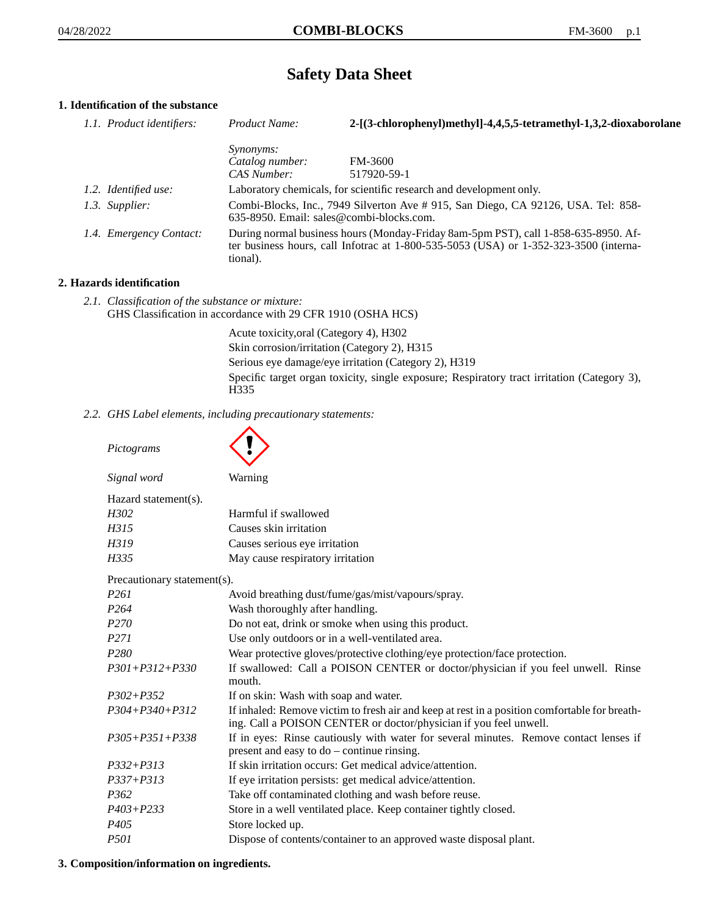# **Safety Data Sheet**

# **1. Identification of the substance**

| 1.1. Product identifiers: | Product Name:                                                                                                                                                                               | 2-[(3-chlorophenyl)methyl]-4,4,5,5-tetramethyl-1,3,2-dioxaborolane  |
|---------------------------|---------------------------------------------------------------------------------------------------------------------------------------------------------------------------------------------|---------------------------------------------------------------------|
|                           | <i>Synonyms:</i>                                                                                                                                                                            |                                                                     |
|                           | Catalog number:                                                                                                                                                                             | FM-3600                                                             |
|                           | CAS Number:                                                                                                                                                                                 | 517920-59-1                                                         |
| 1.2. Identified use:      |                                                                                                                                                                                             | Laboratory chemicals, for scientific research and development only. |
| 1.3. Supplier:            | Combi-Blocks, Inc., 7949 Silverton Ave # 915, San Diego, CA 92126, USA. Tel: 858-<br>$635-8950$ . Email: sales@combi-blocks.com.                                                            |                                                                     |
| 1.4. Emergency Contact:   | During normal business hours (Monday-Friday 8am-5pm PST), call 1-858-635-8950. Af-<br>ter business hours, call Infotrac at $1-800-535-5053$ (USA) or $1-352-323-3500$ (interna-<br>tional). |                                                                     |

### **2. Hazards identification**

*2.1. Classification of the substance or mixture:* GHS Classification in accordance with 29 CFR 1910 (OSHA HCS)

> Acute toxicity,oral (Category 4), H302 Skin corrosion/irritation (Category 2), H315 Serious eye damage/eye irritation (Category 2), H319 Specific target organ toxicity, single exposure; Respiratory tract irritation (Category 3), H335

*2.2. GHS Label elements, including precautionary statements:*

| Pictograms                  |                                                                                                                                                                    |
|-----------------------------|--------------------------------------------------------------------------------------------------------------------------------------------------------------------|
| Signal word                 | Warning                                                                                                                                                            |
| Hazard statement(s).        |                                                                                                                                                                    |
| H302                        | Harmful if swallowed                                                                                                                                               |
| H315                        | Causes skin irritation                                                                                                                                             |
| H319                        | Causes serious eye irritation                                                                                                                                      |
| H335                        | May cause respiratory irritation                                                                                                                                   |
| Precautionary statement(s). |                                                                                                                                                                    |
| P <sub>261</sub>            | Avoid breathing dust/fume/gas/mist/vapours/spray.                                                                                                                  |
| P <sub>264</sub>            | Wash thoroughly after handling.                                                                                                                                    |
| P <sub>270</sub>            | Do not eat, drink or smoke when using this product.                                                                                                                |
| P <sub>271</sub>            | Use only outdoors or in a well-ventilated area.                                                                                                                    |
| P <sub>280</sub>            | Wear protective gloves/protective clothing/eye protection/face protection.                                                                                         |
| $P301 + P312 + P330$        | If swallowed: Call a POISON CENTER or doctor/physician if you feel unwell. Rinse<br>mouth.                                                                         |
| $P302 + P352$               | If on skin: Wash with soap and water.                                                                                                                              |
| P304+P340+P312              | If inhaled: Remove victim to fresh air and keep at rest in a position comfortable for breath-<br>ing. Call a POISON CENTER or doctor/physician if you feel unwell. |
| $P305 + P351 + P338$        | If in eyes: Rinse cautiously with water for several minutes. Remove contact lenses if<br>present and easy to do - continue rinsing.                                |
| $P332 + P313$               | If skin irritation occurs: Get medical advice/attention.                                                                                                           |
| $P337 + P313$               | If eye irritation persists: get medical advice/attention.                                                                                                          |
| P <sub>362</sub>            | Take off contaminated clothing and wash before reuse.                                                                                                              |
| $P403 + P233$               | Store in a well ventilated place. Keep container tightly closed.                                                                                                   |
| P405                        | Store locked up.                                                                                                                                                   |
| P501                        | Dispose of contents/container to an approved waste disposal plant.                                                                                                 |

### **3. Composition/information on ingredients.**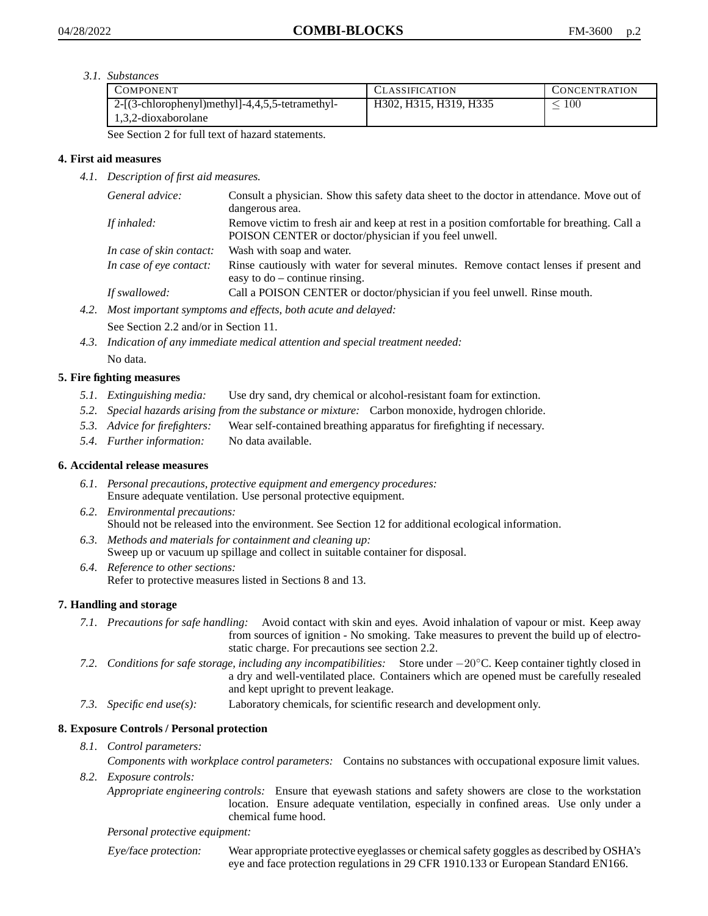*3.1. Substances*

| COMPONENT                                       | <b>CLASSIFICATION</b>  | <b>CONCENTRATION</b> |
|-------------------------------------------------|------------------------|----------------------|
| 2-[(3-chlorophenyl)methyl]-4,4,5,5-tetramethyl- | H302, H315, H319, H335 | 100                  |
| 1.3.2-dioxaborolane                             |                        |                      |

See Section 2 for full text of hazard statements.

# **4. First aid measures**

*4.1. Description of first aid measures.*

| General advice:          | Consult a physician. Show this safety data sheet to the doctor in attendance. Move out of<br>dangerous area.                                         |
|--------------------------|------------------------------------------------------------------------------------------------------------------------------------------------------|
| If inhaled:              | Remove victim to fresh air and keep at rest in a position comfortable for breathing. Call a<br>POISON CENTER or doctor/physician if you feel unwell. |
| In case of skin contact: | Wash with soap and water.                                                                                                                            |
| In case of eye contact:  | Rinse cautiously with water for several minutes. Remove contact lenses if present and<br>easy to $do$ – continue rinsing.                            |
| If swallowed:            | Call a POISON CENTER or doctor/physician if you feel unwell. Rinse mouth.                                                                            |

- *4.2. Most important symptoms and effects, both acute and delayed:* See Section 2.2 and/or in Section 11.
- *4.3. Indication of any immediate medical attention and special treatment needed:* No data.

# **5. Fire fighting measures**

- *5.1. Extinguishing media:* Use dry sand, dry chemical or alcohol-resistant foam for extinction.
- *5.2. Special hazards arising from the substance or mixture:* Carbon monoxide, hydrogen chloride.
- *5.3. Advice for firefighters:* Wear self-contained breathing apparatus for firefighting if necessary.
- *5.4. Further information:* No data available.

# **6. Accidental release measures**

- *6.1. Personal precautions, protective equipment and emergency procedures:* Ensure adequate ventilation. Use personal protective equipment.
- *6.2. Environmental precautions:* Should not be released into the environment. See Section 12 for additional ecological information.
- *6.3. Methods and materials for containment and cleaning up:* Sweep up or vacuum up spillage and collect in suitable container for disposal.
- *6.4. Reference to other sections:* Refer to protective measures listed in Sections 8 and 13.

# **7. Handling and storage**

- *7.1. Precautions for safe handling:* Avoid contact with skin and eyes. Avoid inhalation of vapour or mist. Keep away from sources of ignition - No smoking. Take measures to prevent the build up of electrostatic charge. For precautions see section 2.2.
- *7.2. Conditions for safe storage, including any incompatibilities:* Store under −20◦C. Keep container tightly closed in a dry and well-ventilated place. Containers which are opened must be carefully resealed and kept upright to prevent leakage.
- *7.3. Specific end use(s):* Laboratory chemicals, for scientific research and development only.

# **8. Exposure Controls / Personal protection**

*8.1. Control parameters:*

*Components with workplace control parameters:* Contains no substances with occupational exposure limit values. *8.2. Exposure controls:*

*Appropriate engineering controls:* Ensure that eyewash stations and safety showers are close to the workstation location. Ensure adequate ventilation, especially in confined areas. Use only under a chemical fume hood.

### *Personal protective equipment:*

Eye/face protection: Wear appropriate protective eyeglasses or chemical safety goggles as described by OSHA's eye and face protection regulations in 29 CFR 1910.133 or European Standard EN166.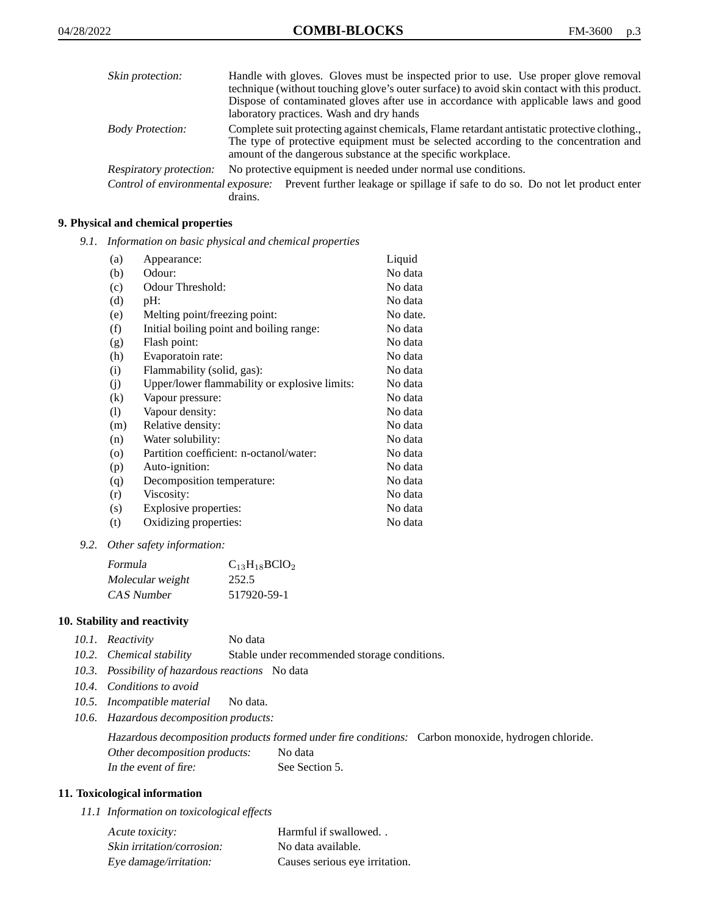| Skin protection:        | Handle with gloves. Gloves must be inspected prior to use. Use proper glove removal<br>technique (without touching glove's outer surface) to avoid skin contact with this product.<br>Dispose of contaminated gloves after use in accordance with applicable laws and good<br>laboratory practices. Wash and dry hands |
|-------------------------|------------------------------------------------------------------------------------------------------------------------------------------------------------------------------------------------------------------------------------------------------------------------------------------------------------------------|
| <b>Body Protection:</b> | Complete suit protecting against chemicals, Flame retardant antistatic protective clothing.<br>The type of protective equipment must be selected according to the concentration and<br>amount of the dangerous substance at the specific workplace.                                                                    |
| Respiratory protection: | No protective equipment is needed under normal use conditions.                                                                                                                                                                                                                                                         |
|                         | Control of environmental exposure: Prevent further leakage or spillage if safe to do so. Do not let product enter<br>drains.                                                                                                                                                                                           |

# **9. Physical and chemical properties**

*9.1. Information on basic physical and chemical properties*

| (a)      | Appearance:                                   | Liquid   |
|----------|-----------------------------------------------|----------|
| (b)      | Odour:                                        | No data  |
| (c)      | Odour Threshold:                              | No data  |
| (d)      | pH:                                           | No data  |
| (e)      | Melting point/freezing point:                 | No date. |
| (f)      | Initial boiling point and boiling range:      | No data  |
| (g)      | Flash point:                                  | No data  |
| (h)      | Evaporatoin rate:                             | No data  |
| (i)      | Flammability (solid, gas):                    | No data  |
| (j)      | Upper/lower flammability or explosive limits: | No data  |
| $\rm(k)$ | Vapour pressure:                              | No data  |
| (1)      | Vapour density:                               | No data  |
| (m)      | Relative density:                             | No data  |
| (n)      | Water solubility:                             | No data  |
| $\circ$  | Partition coefficient: n-octanol/water:       | No data  |
| (p)      | Auto-ignition:                                | No data  |
| (q)      | Decomposition temperature:                    | No data  |
| (r)      | Viscosity:                                    | No data  |
| (s)      | Explosive properties:                         | No data  |
| (t)      | Oxidizing properties:                         | No data  |
|          |                                               |          |

*9.2. Other safety information:*

| Formula          | $C_{13}H_{18}BClO_2$ |
|------------------|----------------------|
| Molecular weight | 252.5                |
| CAS Number       | 517920-59-1          |

### **10. Stability and reactivity**

| 10.1. Reactivity | No data |
|------------------|---------|
|                  |         |

- *10.2. Chemical stability* Stable under recommended storage conditions.
- *10.3. Possibility of hazardous reactions* No data
- *10.4. Conditions to avoid*
- *10.5. Incompatible material* No data.
- *10.6. Hazardous decomposition products:*

Hazardous decomposition products formed under fire conditions: Carbon monoxide, hydrogen chloride. Other decomposition products: No data In the event of fire: See Section 5.

### **11. Toxicological information**

*11.1 Information on toxicological effects*

| Acute toxicity:            | Harmful if swallowed           |
|----------------------------|--------------------------------|
| Skin irritation/corrosion: | No data available.             |
| Eye damage/irritation:     | Causes serious eye irritation. |